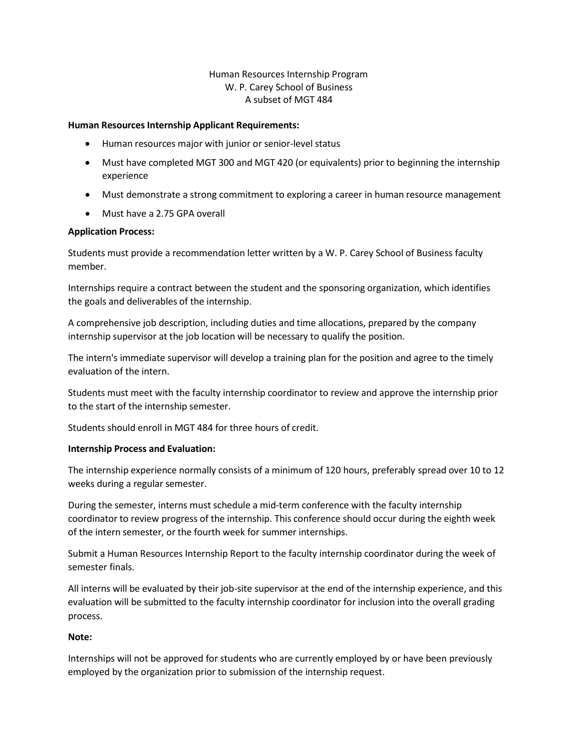# Human Resources Internship Program W. P. Carey School of Business A subset of MGT 484

#### **Human Resources Internship Applicant Requirements:**

- Human resources major with junior or senior-level status
- Must have completed MGT 300 and MGT 420 (or equivalents) prior to beginning the internship experience
- Must demonstrate a strong commitment to exploring a career in human resource management
- Must have a 2.75 GPA overall

## **Application Process:**

Students must provide a recommendation letter written by a W. P. Carey School of Business faculty member.

Internships require a contract between the student and the sponsoring organization, which identifies the goals and deliverables of the internship.

A comprehensive job description, including duties and time allocations, prepared by the company internship supervisor at the job location will be necessary to qualify the position.

The intern's immediate supervisor will develop a training plan for the position and agree to the timely evaluation of the intern.

Students must meet with the faculty internship coordinator to review and approve the internship prior to the start of the internship semester.

Students should enroll in MGT 484 for three hours of credit.

## **Internship Process and Evaluation:**

The internship experience normally consists of a minimum of 120 hours, preferably spread over 10 to 12 weeks during a regular semester.

During the semester, interns must schedule a mid-term conference with the faculty internship coordinator to review progress of the internship. This conference should occur during the eighth week of the intern semester, or the fourth week for summer internships.

Submit a Human Resources Internship Report to the faculty internship coordinator during the week of semester finals.

All interns will be evaluated by their job-site supervisor at the end of the internship experience, and this evaluation will be submitted to the faculty internship coordinator for inclusion into the overall grading process.

## **Note:**

Internships will not be approved for students who are currently employed by or have been previously employed by the organization prior to submission of the internship request.